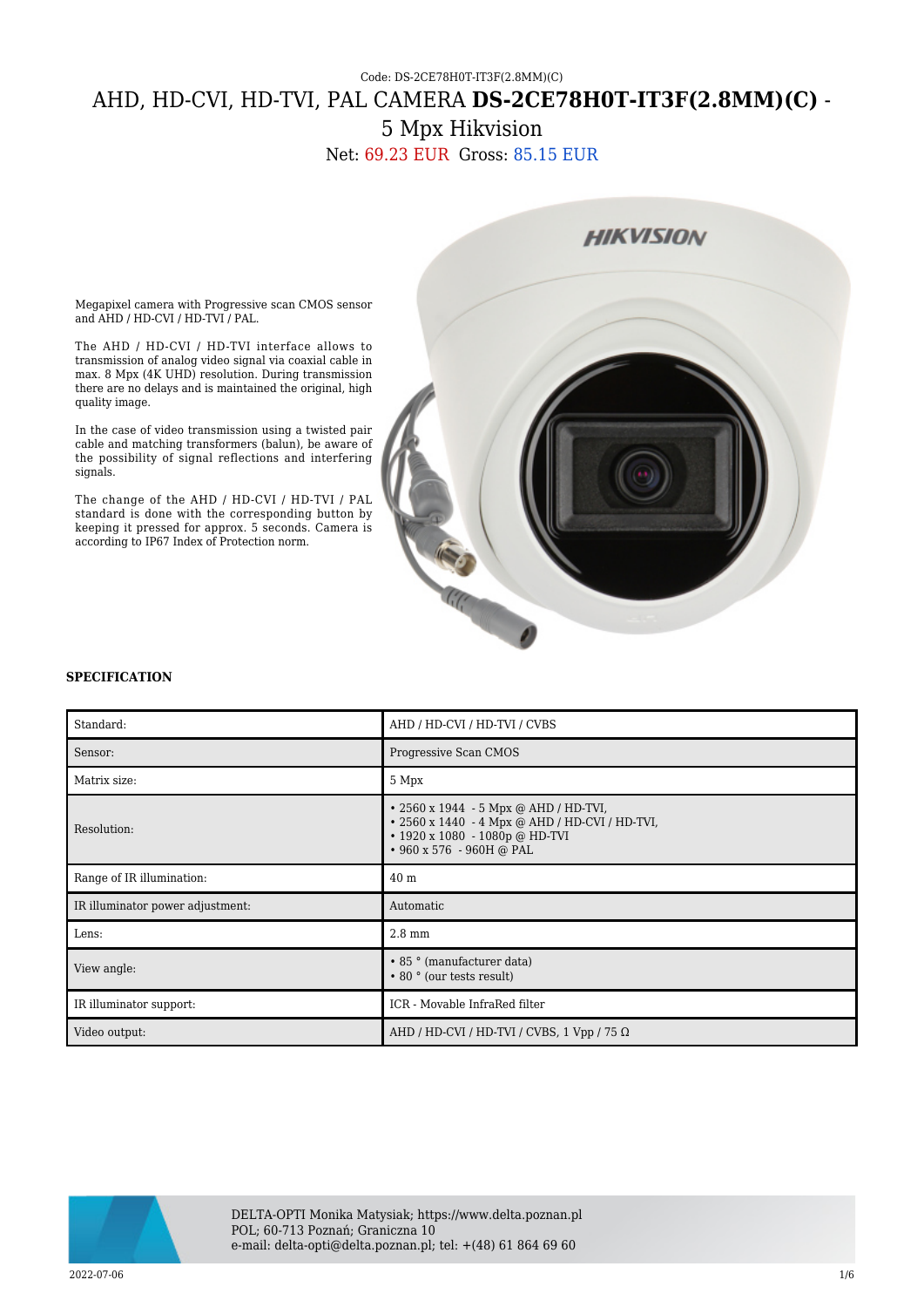## Code: DS-2CE78H0T-IT3F(2.8MM)(C) AHD, HD-CVI, HD-TVI, PAL CAMERA **DS-2CE78H0T-IT3F(2.8MM)(C)** - 5 Mpx Hikvision

Net: 69.23 EUR Gross: 85.15 EUR



Megapixel camera with Progressive scan CMOS sensor and AHD / HD-CVI / HD-TVI / PAL.

The AHD / HD-CVI / HD-TVI interface allows to transmission of analog video signal via coaxial cable in max. 8 Mpx (4K UHD) resolution. During transmission there are no delays and is maintained the original, high quality image.

In the case of video transmission using a twisted pair cable and matching transformers (balun), be aware of the possibility of signal reflections and interfering signals.

The change of the AHD / HD-CVI / HD-TVI / PAL standard is done with the corresponding button by keeping it pressed for approx. 5 seconds. Camera is according to IP67 Index of Protection norm.

## **SPECIFICATION**

| Standard:                        | AHD / HD-CVI / HD-TVI / CVBS                                                                                                                                      |
|----------------------------------|-------------------------------------------------------------------------------------------------------------------------------------------------------------------|
| Sensor:                          | Progressive Scan CMOS                                                                                                                                             |
| Matrix size:                     | 5 Mpx                                                                                                                                                             |
| Resolution:                      | • 2560 x 1944 - 5 Mpx @ AHD / HD-TVI,<br>• 2560 x 1440 - 4 Mpx @ AHD / HD-CVI / HD-TVI,<br>$\cdot$ 1920 x 1080 - 1080p @ HD-TVI<br>$\cdot$ 960 x 576 - 960H @ PAL |
| Range of IR illumination:        | 40 <sub>m</sub>                                                                                                                                                   |
| IR illuminator power adjustment: | Automatic                                                                                                                                                         |
| Lens:                            | $2.8 \text{ mm}$                                                                                                                                                  |
| View angle:                      | • 85 ° (manufacturer data)<br>• 80 ° (our tests result)                                                                                                           |
| IR illuminator support:          | ICR - Movable InfraRed filter                                                                                                                                     |
| Video output:                    | AHD / HD-CVI / HD-TVI / CVBS, 1 Vpp / 75 $\Omega$                                                                                                                 |

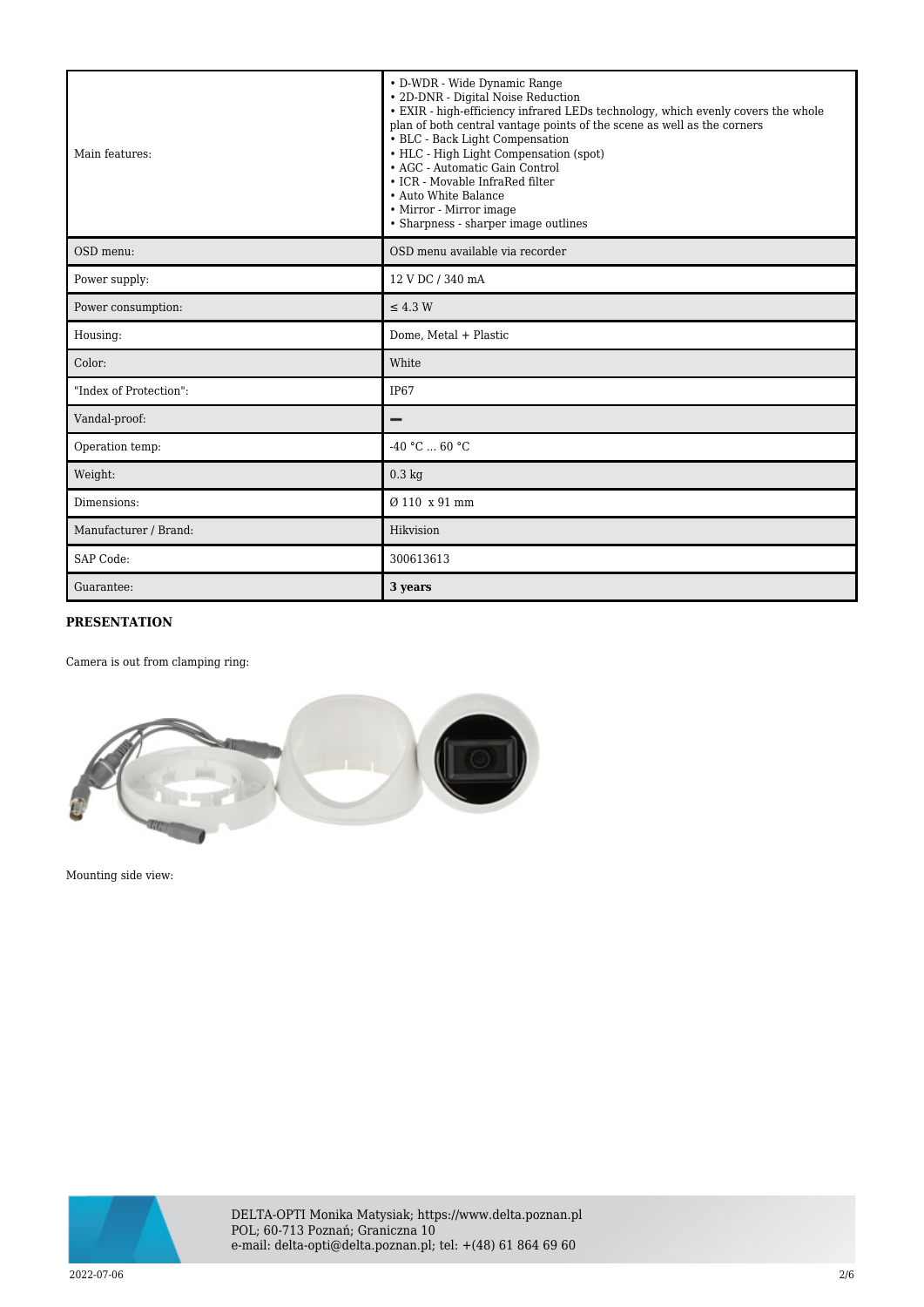| Main features:         | • D-WDR - Wide Dynamic Range<br>• 2D-DNR - Digital Noise Reduction<br>• EXIR - high-efficiency infrared LEDs technology, which evenly covers the whole<br>plan of both central vantage points of the scene as well as the corners<br>• BLC - Back Light Compensation<br>• HLC - High Light Compensation (spot)<br>• AGC - Automatic Gain Control<br>• ICR - Movable InfraRed filter<br>• Auto White Balance<br>• Mirror - Mirror image<br>• Sharpness - sharper image outlines |
|------------------------|--------------------------------------------------------------------------------------------------------------------------------------------------------------------------------------------------------------------------------------------------------------------------------------------------------------------------------------------------------------------------------------------------------------------------------------------------------------------------------|
| OSD menu:              | OSD menu available via recorder                                                                                                                                                                                                                                                                                                                                                                                                                                                |
| Power supply:          | 12 V DC / 340 mA                                                                                                                                                                                                                                                                                                                                                                                                                                                               |
| Power consumption:     | $\leq$ 4.3 W                                                                                                                                                                                                                                                                                                                                                                                                                                                                   |
| Housing:               | Dome, Metal + Plastic                                                                                                                                                                                                                                                                                                                                                                                                                                                          |
| Color:                 | White                                                                                                                                                                                                                                                                                                                                                                                                                                                                          |
| "Index of Protection": | IP67                                                                                                                                                                                                                                                                                                                                                                                                                                                                           |
| Vandal-proof:          |                                                                                                                                                                                                                                                                                                                                                                                                                                                                                |
| Operation temp:        | $-40 °C  60 °C$                                                                                                                                                                                                                                                                                                                                                                                                                                                                |
| Weight:                | $0.3 \text{ kg}$                                                                                                                                                                                                                                                                                                                                                                                                                                                               |
| Dimensions:            | Ø 110 x 91 mm                                                                                                                                                                                                                                                                                                                                                                                                                                                                  |
| Manufacturer / Brand:  | Hikvision                                                                                                                                                                                                                                                                                                                                                                                                                                                                      |
| SAP Code:              | 300613613                                                                                                                                                                                                                                                                                                                                                                                                                                                                      |
| Guarantee:             | 3 years                                                                                                                                                                                                                                                                                                                                                                                                                                                                        |

## **PRESENTATION**

Camera is out from clamping ring:



Mounting side view:

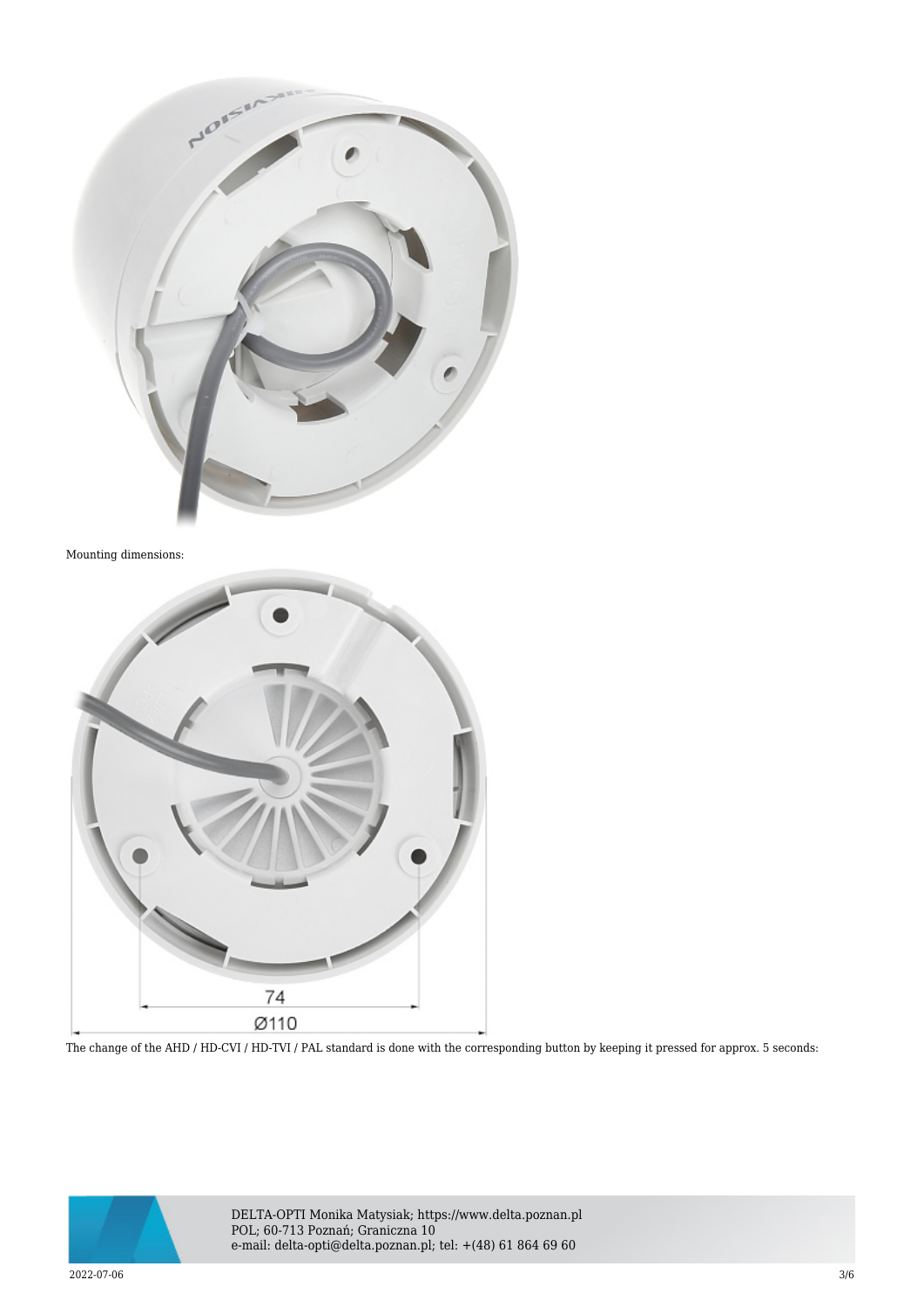

Mounting dimensions:



The change of the AHD / HD-CVI / HD-TVI / PAL standard is done with the corresponding button by keeping it pressed for approx. 5 seconds:



DELTA-OPTI Monika Matysiak; https://www.delta.poznan.pl POL; 60-713 Poznań; Graniczna 10 e-mail: delta-opti@delta.poznan.pl; tel: +(48) 61 864 69 60

 $2022$ -07-06  $3/6$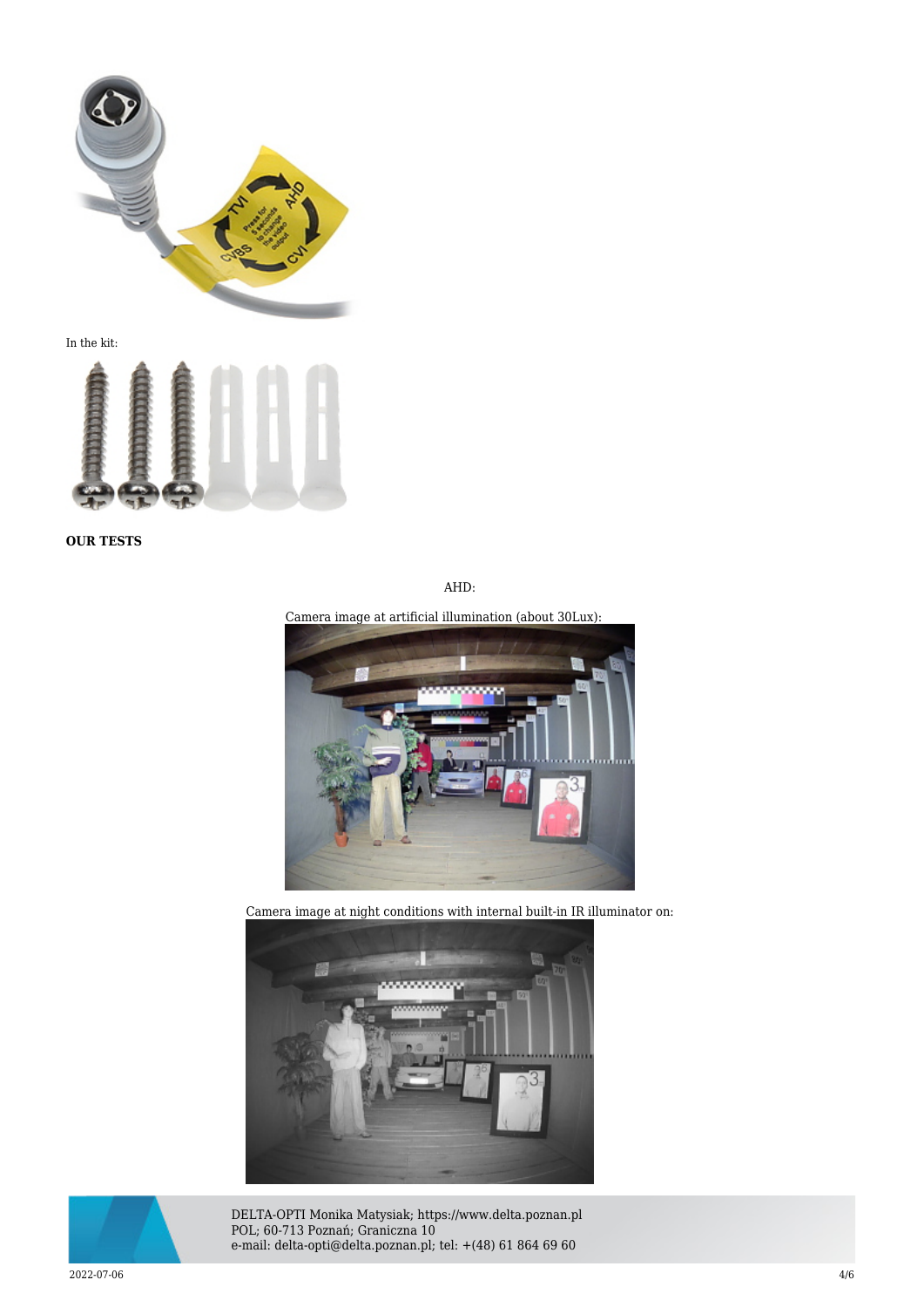

In the kit:



**OUR TESTS**

AHD:

Camera image at artificial illumination (about 30Lux):



Camera image at night conditions with internal built-in IR illuminator on:





DELTA-OPTI Monika Matysiak; https://www.delta.poznan.pl POL; 60-713 Poznań; Graniczna 10 e-mail: delta-opti@delta.poznan.pl; tel: +(48) 61 864 69 60

 $2022$ -07-06  $4/6$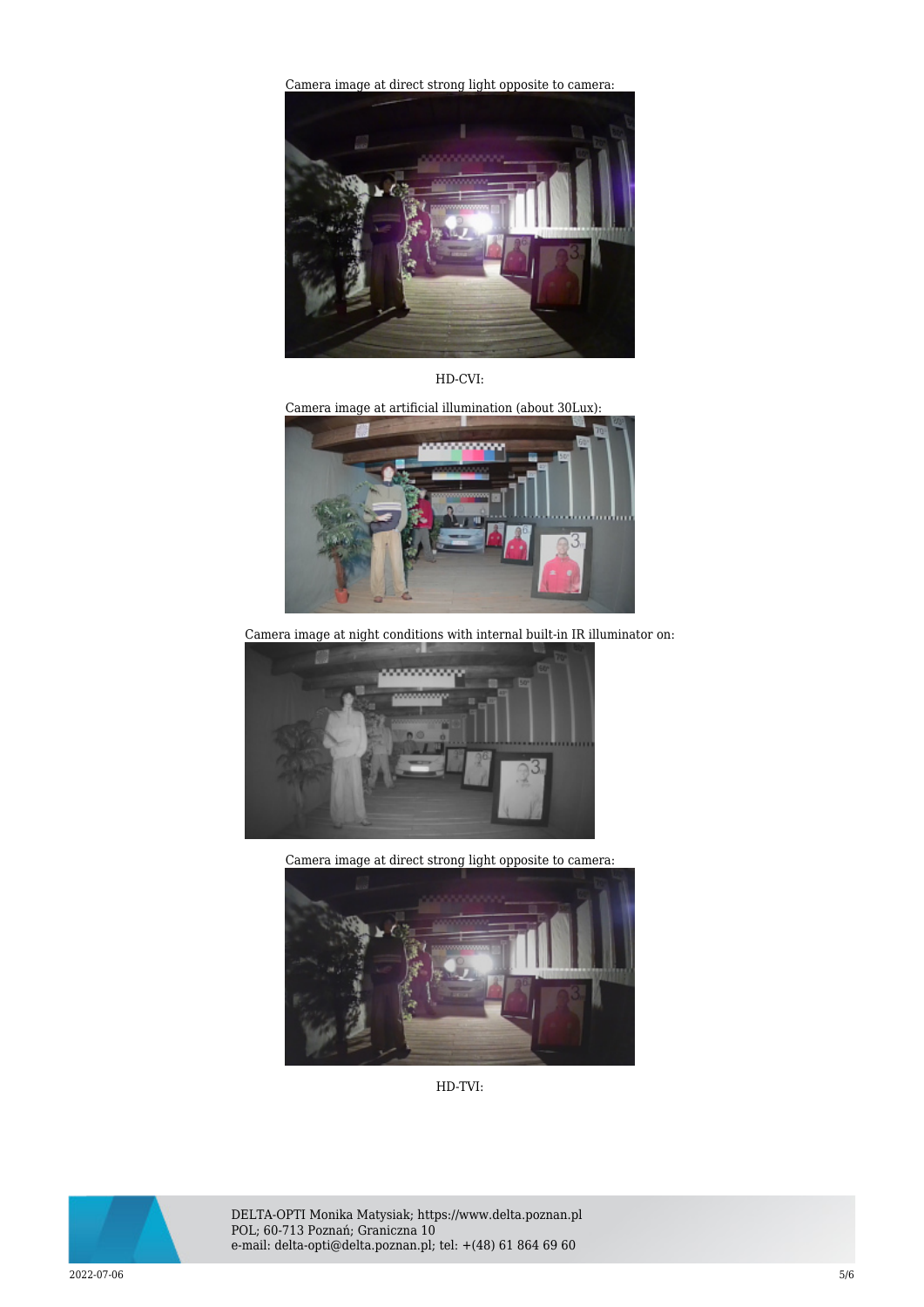[Camera image at direct strong light opposite to camera:](https://sklep.delta.poznan.pl/obrazki2/ds-2ce78h0t-it3f(2.8mm)(c)_ahd_img12_d.jpg) 



HD-CVI:

Camera image at artificial illumination (about 30Lux):



Camera image at night conditions with internal built-in IR illuminator on:



Camera image at direct strong light opposite to camera:



HD-TVI:



DELTA-OPTI Monika Matysiak; https://www.delta.poznan.pl POL; 60-713 Poznań; Graniczna 10 e-mail: delta-opti@delta.poznan.pl; tel: +(48) 61 864 69 60

 $2022$ -07-06  $5/6$